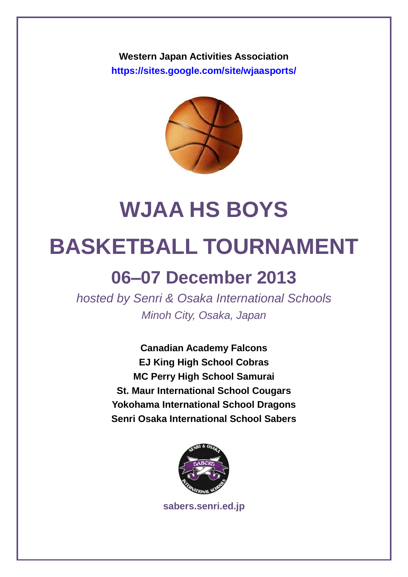**Western Japan Activities Association <https://sites.google.com/site/wjaasports/>**



# **WJAA HS BOYS**

# **BASKETBALL TOURNAMENT**

## **06–07 December 2013**

*hosted by Senri & Osaka International Schools Minoh City, Osaka, Japan*

> **Canadian Academy Falcons EJ King High School Cobras MC Perry High School Samurai St. Maur International School Cougars Yokohama International School Dragons Senri Osaka International School Sabers**



**[sabers.senri.ed.jp](http://sabers.senri.ed.jp/)**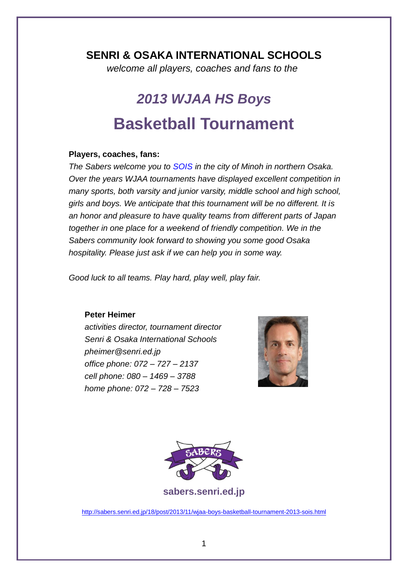### **SENRI & OSAKA INTERNATIONAL SCHOOLS**

*welcome all players, coaches and fans to the*

## *2013 WJAA HS Boys* **Basketball Tournament**

#### **Players, coaches, fans:**

*The Sabers welcome you to [SOIS](http://www.senri.ed.jp/sabers) in the city of Minoh in northern Osaka. Over the years WJAA tournaments have displayed excellent competition in many sports, both varsity and junior varsity, middle school and high school, girls and boys. We anticipate that this tournament will be no different. It is an honor and pleasure to have quality teams from different parts of Japan together in one place for a weekend of friendly competition. We in the Sabers community look forward to showing you some good Osaka hospitality. Please just ask if we can help you in some way.*

*Good luck to all teams. Play hard, play well, play fair.*

#### **Peter Heimer**

*activities director, tournament director Senri & Osaka International Schools pheimer@senri.ed.jp office phone: 072 – 727 – 2137 cell phone: 080 – 1469 – 3788 home phone: 072 – 728 – 7523* 





**[sabers.senri.ed.jp](http://sabers.senri.ed.jp/)**

<http://sabers.senri.ed.jp/18/post/2013/11/wjaa-boys-basketball-tournament-2013-sois.html>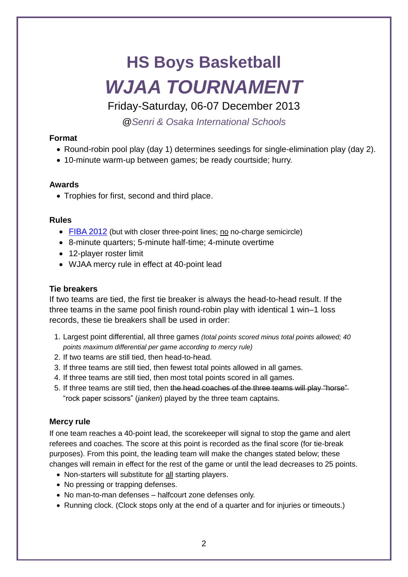# **HS Boys Basketball** *WJAA TOURNAMENT*

Friday-Saturday, 06-07 December 2013

*[@Senri & Osaka International Schools](http://www.senri.ed.jp/)*

### **Format**

- Round-robin pool play (day 1) determines seedings for single-elimination play (day 2).
- 10-minute warm-up between games; be ready courtside; hurry.

#### **Awards**

• Trophies for first, second and third place.

#### **Rules**

- [FIBA 2012](http://www.fiba.com/downloads/Rules/2012/OfficialBasketballRules2012.pdf) (but with closer three-point lines; no no-charge semicircle)
- 8-minute quarters; 5-minute half-time; 4-minute overtime
- 12-player roster limit
- WJAA mercy rule in effect at 40-point lead

### **Tie breakers**

If two teams are tied, the first tie breaker is always the head-to-head result. If the three teams in the same pool finish round-robin play with identical 1 win–1 loss records, these tie breakers shall be used in order:

- 1. Largest point differential, all three games *(total points scored minus total points allowed; 40 points maximum differential per game according to mercy rule)*
- 2. If two teams are still tied, then head-to-head.
- 3. If three teams are still tied, then fewest total points allowed in all games.
- 4. If three teams are still tied, then most total points scored in all games.
- 5. If three teams are still tied, then the head coaches of the three teams will play "horse" "rock paper scissors" (*janken*) played by the three team captains.

#### **Mercy rule**

If one team reaches a 40-point lead, the scorekeeper will signal to stop the game and alert referees and coaches. The score at this point is recorded as the final score (for tie-break purposes). From this point, the leading team will make the changes stated below; these changes will remain in effect for the rest of the game or until the lead decreases to 25 points.

- Non-starters will substitute for all starting players.
- No pressing or trapping defenses.
- No man-to-man defenses halfcourt zone defenses only.
- Running clock. (Clock stops only at the end of a quarter and for injuries or timeouts.)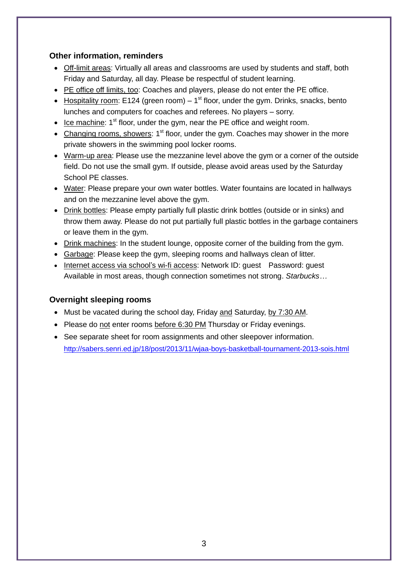#### **Other information, reminders**

- Off-limit areas: Virtually all areas and classrooms are used by students and staff, both Friday and Saturday, all day. Please be respectful of student learning.
- PE office off limits, too: Coaches and players, please do not enter the PE office.
- Hospitality room: E124 (green room)  $-1<sup>st</sup>$  floor, under the gym. Drinks, snacks, bento lunches and computers for coaches and referees. No players – sorry.
- $\bullet$  Ice machine: 1<sup>st</sup> floor, under the gym, near the PE office and weight room.
- Changing rooms, showers:  $1<sup>st</sup>$  floor, under the gym. Coaches may shower in the more private showers in the swimming pool locker rooms.
- Warm-up area: Please use the mezzanine level above the gym or a corner of the outside field. Do not use the small gym. If outside, please avoid areas used by the Saturday School PE classes.
- Water: Please prepare your own water bottles. Water fountains are located in hallways and on the mezzanine level above the gym.
- Drink bottles: Please empty partially full plastic drink bottles (outside or in sinks) and throw them away. Please do not put partially full plastic bottles in the garbage containers or leave them in the gym.
- Drink machines: In the student lounge, opposite corner of the building from the gym.
- Garbage: Please keep the gym, sleeping rooms and hallways clean of litter.
- Internet access via school's wi-fi access: Network ID: quest Password: quest Available in most areas, though connection sometimes not strong. *Starbucks…*

#### **Overnight sleeping rooms**

- Must be vacated during the school day, Friday and Saturday, by 7:30 AM.
- Please do not enter rooms before 6:30 PM Thursday or Friday evenings.
- See separate sheet for room assignments and other sleepover information. <http://sabers.senri.ed.jp/18/post/2013/11/wjaa-boys-basketball-tournament-2013-sois.html>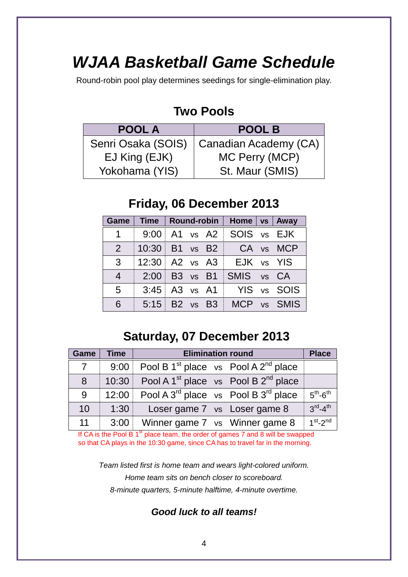## *WJAA Basketball Game Schedule*

Round-robin pool play determines seedings for single-elimination play.

## **Two Pools**

| <b>POOL A</b>      | <b>POOL B</b>         |
|--------------------|-----------------------|
| Senri Osaka (SOIS) | Canadian Academy (CA) |
| EJ King (EJK)      | MC Perry (MCP)        |
| Yokohama (YIS)     | St. Maur (SMIS)       |

## **Friday, 06 December 2013**

|                 |                        |  | Game   Time   Round-robin   Home   vs   Away |             |
|-----------------|------------------------|--|----------------------------------------------|-------------|
| 1               |                        |  | $9:00$ A1 vs A2 SOIS vs EJK                  |             |
| $\overline{2}$  |                        |  | $10:30$ B1 vs B2 $\overline{CA}$ vs MCP      |             |
| 3               | 12:30 $\vert$ A2 vs A3 |  | EJK vs YIS                                   |             |
| $\overline{4}$  |                        |  | $2:00$ B3 vs B1 SMIS vs CA                   |             |
| $5\overline{)}$ | $3:45$ A3 vs A1        |  |                                              | YIS vs SOIS |
| 6               | 5:15 $B2$ vs $B3$      |  |                                              | MCP vs SMIS |

## **Saturday, 07 December 2013**

| Game           | Time  | <b>Elimination round</b>                                          | <b>Place</b>                    |
|----------------|-------|-------------------------------------------------------------------|---------------------------------|
| $\overline{7}$ |       | 9:00 Pool B 1 <sup>st</sup> place vs Pool A 2 <sup>nd</sup> place |                                 |
| 8 <sup>°</sup> |       | 10:30 Pool A 1 <sup>st</sup> place vs Pool B $2^{nd}$ place       |                                 |
| 9              | 12:00 | Pool A $3^{\text{rd}}$ place vs Pool B $3^{\text{rd}}$ place      | $5th - 6th$                     |
| 10             | 1:30  | Loser game 7 vs Loser game 8                                      | $3^{\text{rd}} - 4^{\text{th}}$ |
| 11             | 3:00  | Winner game 7 vs Winner game 8                                    | $1st - 2nd$                     |

If CA is the Pool B  $1<sup>st</sup>$  place team, the order of games 7 and 8 will be swapped so that CA plays in the 10:30 game, since CA has to travel far in the morning.

*Team listed first is home team and wears light-colored uniform. Home team sits on bench closer to scoreboard. 8-minute quarters, 5-minute halftime, 4-minute overtime.*

*Good luck to all teams!*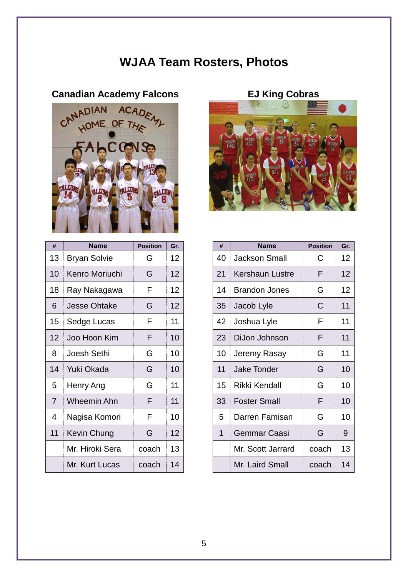## **WJAA Team Rosters, Photos**



| #  | <b>Name</b>         | <b>Position</b> | Gr. |
|----|---------------------|-----------------|-----|
| 13 | <b>Bryan Solvie</b> | G               | 12  |
| 10 | Kenro Moriuchi      | G               | 12  |
| 18 | Ray Nakagawa        | F               | 12  |
| 6  | <b>Jesse Ohtake</b> | G               | 12  |
| 15 | Sedge Lucas         | F               | 11  |
| 12 | Joo Hoon Kim        | F               | 10  |
| 8  | Joesh Sethi         | G               | 10  |
| 14 | Yuki Okada          | G               | 10  |
| 5  | Henry Ang           | G               | 11  |
| 7  | Wheemin Ahn         | F               | 11  |
| 4  | Nagisa Komori       | F               | 10  |
| 11 | Kevin Chung         | G               | 12  |
|    | Mr. Hiroki Sera     | coach           | 13  |
|    | Mr. Kurt Lucas      | coach           | 14  |



| #               | <b>Name</b>         | <b>Position</b> | Gr. |
|-----------------|---------------------|-----------------|-----|
| 13              | <b>Bryan Solvie</b> | G               | 12  |
| 10              | Kenro Moriuchi      | G               | 12  |
| 18              | Ray Nakagawa        | F               | 12  |
| 6               | <b>Jesse Ohtake</b> | G               | 12  |
| 15              | Sedge Lucas         | F               | 11  |
| 12 <sup>2</sup> | Joo Hoon Kim        | F               | 10  |
| 8               | Joesh Sethi         | G               | 10  |
| 14              | Yuki Okada          | G               | 10  |
| 5               | Henry Ang           | G               | 11  |
| $\overline{7}$  | <b>Wheemin Ahn</b>  | F               | 11  |
| 4               | Nagisa Komori       | F               | 10  |
| 11              | Kevin Chung         | G               | 12  |
|                 | Mr. Hiroki Sera     | coach           | 13  |
|                 | Mr. Kurt Lucas      | coach           | 14  |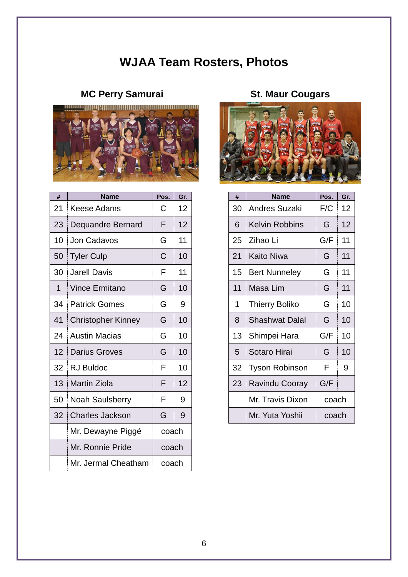## **WJAA Team Rosters, Photos**

## **MC Perry Samurai St. Maur Cougars**



| #  | <b>Name</b>               | Pos.  | Gr. | #  | <b>Name</b>           | Pos.  | Gr. |
|----|---------------------------|-------|-----|----|-----------------------|-------|-----|
| 21 | <b>Keese Adams</b>        | С     | 12  | 30 | <b>Andres Suzaki</b>  | F/C   | 12  |
| 23 | Dequandre Bernard         | F     | 12  | 6  | <b>Kelvin Robbins</b> | G     | 12  |
| 10 | Jon Cadavos               | G     | 11  | 25 | Zihao Li              | G/F   | 11  |
| 50 | <b>Tyler Culp</b>         | C     | 10  | 21 | <b>Kaito Niwa</b>     | G     | 11  |
| 30 | <b>Jarell Davis</b>       | F     | 11  | 15 | <b>Bert Nunneley</b>  | G     | 11  |
| 1  | <b>Vince Ermitano</b>     | G     | 10  | 11 | Masa Lim              | G     | 11  |
| 34 | <b>Patrick Gomes</b>      | G     | 9   | 1  | <b>Thierry Boliko</b> | G     | 10  |
| 41 | <b>Christopher Kinney</b> | G     | 10  | 8  | <b>Shashwat Dalal</b> | G     | 10  |
| 24 | <b>Austin Macias</b>      | G     | 10  | 13 | Shimpei Hara          | G/F   | 10  |
| 12 | <b>Darius Groves</b>      | G     | 10  | 5  | Sotaro Hirai          | G     | 10  |
| 32 | <b>RJ Buldoc</b>          | F     | 10  | 32 | <b>Tyson Robinson</b> | F     | 9   |
| 13 | <b>Martin Ziola</b>       | F     | 12  | 23 | <b>Ravindu Cooray</b> | G/F   |     |
| 50 | <b>Noah Saulsberry</b>    | F     | 9   |    | Mr. Travis Dixon      | coach |     |
| 32 | <b>Charles Jackson</b>    | G     | 9   |    | Mr. Yuta Yoshii       | coach |     |
|    | Mr. Dewayne Piggé         | coach |     |    |                       |       |     |
|    | Mr. Ronnie Pride          | coach |     |    |                       |       |     |
|    | Mr. Jermal Cheatham       | coach |     |    |                       |       |     |



| #              | <b>Name</b>               | Pos.        | Gr. | #  | <b>Name</b>           | Pos.  | Gr.             |
|----------------|---------------------------|-------------|-----|----|-----------------------|-------|-----------------|
| 21             | <b>Keese Adams</b>        | С           | 12  | 30 | <b>Andres Suzaki</b>  | F/C   | 12 <sub>2</sub> |
| 23.            | Dequandre Bernard         | F           | 12  | 6  | <b>Kelvin Robbins</b> | G     | 12 <sup>2</sup> |
| $\Omega$       | Jon Cadavos               | G           | 11  | 25 | Zihao Li              | G/F   | 11              |
| $50^{\circ}$   | <b>Tyler Culp</b>         | $\mathsf C$ | 10  | 21 | <b>Kaito Niwa</b>     | G     | 11              |
| 30             | <b>Jarell Davis</b>       | F           | 11  | 15 | <b>Bert Nunneley</b>  | G     | 11              |
| 1              | <b>Vince Ermitano</b>     | G           | 10  | 11 | Masa Lim              | G     | 11              |
| 34             | <b>Patrick Gomes</b>      | G           | 9   | 1  | <b>Thierry Boliko</b> | G     | 10              |
| 1              | <b>Christopher Kinney</b> | G           | 10  | 8  | <b>Shashwat Dalal</b> | G     | 10              |
| 24             | <b>Austin Macias</b>      | G           | 10  | 13 | Shimpei Hara          | G/F   | 10              |
| 2              | <b>Darius Groves</b>      | G           | 10  | 5  | Sotaro Hirai          | G     | 10              |
| $2^{\circ}$    | <b>RJ Buldoc</b>          | F           | 10  | 32 | <b>Tyson Robinson</b> | F     | 9               |
| 3              | <b>Martin Ziola</b>       | F           | 12  | 23 | <b>Ravindu Cooray</b> | G/F   |                 |
| 50             | <b>Noah Saulsberry</b>    | F           | 9   |    | Mr. Travis Dixon      | coach |                 |
| 2 <sup>2</sup> | <b>Charles Jackson</b>    | G           | 9   |    | Mr. Yuta Yoshii       | coach |                 |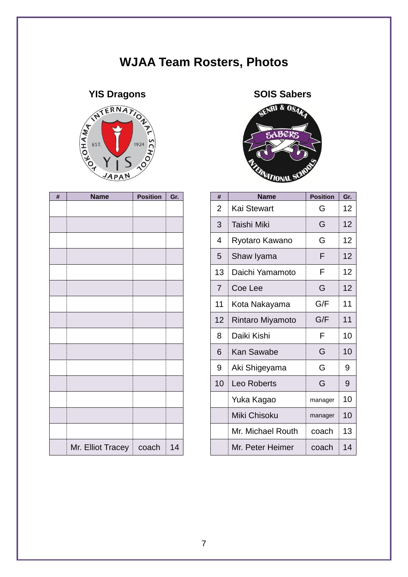## **WJAA Team Rosters, Photos**



| # | Name                      | <b>Position</b> | Gr.    |
|---|---------------------------|-----------------|--------|
|   |                           |                 |        |
|   |                           |                 |        |
|   |                           |                 |        |
|   |                           |                 |        |
|   |                           |                 |        |
|   |                           |                 |        |
|   |                           |                 |        |
|   |                           |                 |        |
|   |                           |                 |        |
|   |                           |                 |        |
|   |                           |                 |        |
|   |                           |                 |        |
|   |                           |                 |        |
|   |                           |                 |        |
|   |                           |                 |        |
|   |                           |                 |        |
|   | Mr. Elliot Tracey   coach |                 | 14<br> |



| # | <b>Name</b>       | <b>Position</b> | Gr. | #              | <b>Name</b>        | <b>Position</b> | Gr.             |
|---|-------------------|-----------------|-----|----------------|--------------------|-----------------|-----------------|
|   |                   |                 |     | $\overline{2}$ | <b>Kai Stewart</b> | G               | 12 <sub>2</sub> |
|   |                   |                 |     | 3              | Taishi Miki        | G               | 12              |
|   |                   |                 |     | 4              | Ryotaro Kawano     |                 | 12 <sub>2</sub> |
|   |                   |                 |     | 5              | Shaw Iyama         | F               | 12              |
|   |                   |                 |     | 13             | Daichi Yamamoto    | F               | 12 <sup>2</sup> |
|   |                   |                 |     | $\overline{7}$ | Coe Lee            | G               | 12              |
|   |                   |                 |     | 11             | Kota Nakayama      | G/F             | 11              |
|   |                   |                 |     | 12             | Rintaro Miyamoto   | G/F             | 11              |
|   |                   |                 |     | 8              | Daiki Kishi        | F               | 10              |
|   |                   |                 |     | 6              | <b>Kan Sawabe</b>  | G               | 10              |
|   |                   |                 |     | 9              | Aki Shigeyama      | G               | 9               |
|   |                   |                 |     | 10             | Leo Roberts        | G               | 9               |
|   |                   |                 |     |                | Yuka Kagao         | manager         | 10              |
|   |                   |                 |     |                | Miki Chisoku       | manager         | 10              |
|   |                   |                 |     |                | Mr. Michael Routh  | coach           | 13              |
|   | Mr. Elliot Tracey | coach           | 14  |                | Mr. Peter Heimer   | coach           | 14              |